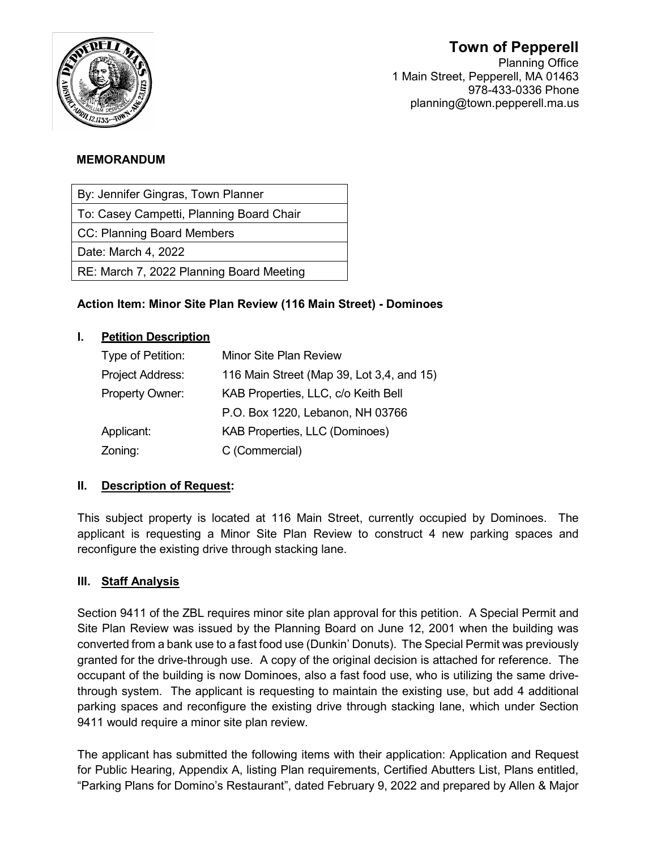# **Town of Pepperell**



Planning Office 1 Main Street, Pepperell, MA 01463 978-433-0336 Phone planning@town.pepperell.ma.us

# **MEMORANDUM**

By: Jennifer Gingras, Town Planner

To: Casey Campetti, Planning Board Chair

CC: Planning Board Members

Date: March 4, 2022

RE: March 7, 2022 Planning Board Meeting

# **Action Item: Minor Site Plan Review (116 Main Street) - Dominoes**

# **I. Petition Description**

| Type of Petition: | <b>Minor Site Plan Review</b>             |
|-------------------|-------------------------------------------|
| Project Address:  | 116 Main Street (Map 39, Lot 3,4, and 15) |
| Property Owner:   | KAB Properties, LLC, c/o Keith Bell       |
|                   | P.O. Box 1220, Lebanon, NH 03766          |
| Applicant:        | KAB Properties, LLC (Dominoes)            |
| Zoning:           | C (Commercial)                            |

# **II. Description of Request:**

This subject property is located at 116 Main Street, currently occupied by Dominoes. The applicant is requesting a Minor Site Plan Review to construct 4 new parking spaces and reconfigure the existing drive through stacking lane.

# **III. Staff Analysis**

Section 9411 of the ZBL requires minor site plan approval for this petition. A Special Permit and Site Plan Review was issued by the Planning Board on June 12, 2001 when the building was converted from a bank use to a fast food use (Dunkin' Donuts). The Special Permit was previously granted for the drive-through use. A copy of the original decision is attached for reference. The occupant of the building is now Dominoes, also a fast food use, who is utilizing the same drivethrough system. The applicant is requesting to maintain the existing use, but add 4 additional parking spaces and reconfigure the existing drive through stacking lane, which under Section 9411 would require a minor site plan review.

The applicant has submitted the following items with their application: Application and Request for Public Hearing, Appendix A, listing Plan requirements, Certified Abutters List, Plans entitled, "Parking Plans for Domino's Restaurant", dated February 9, 2022 and prepared by Allen & Major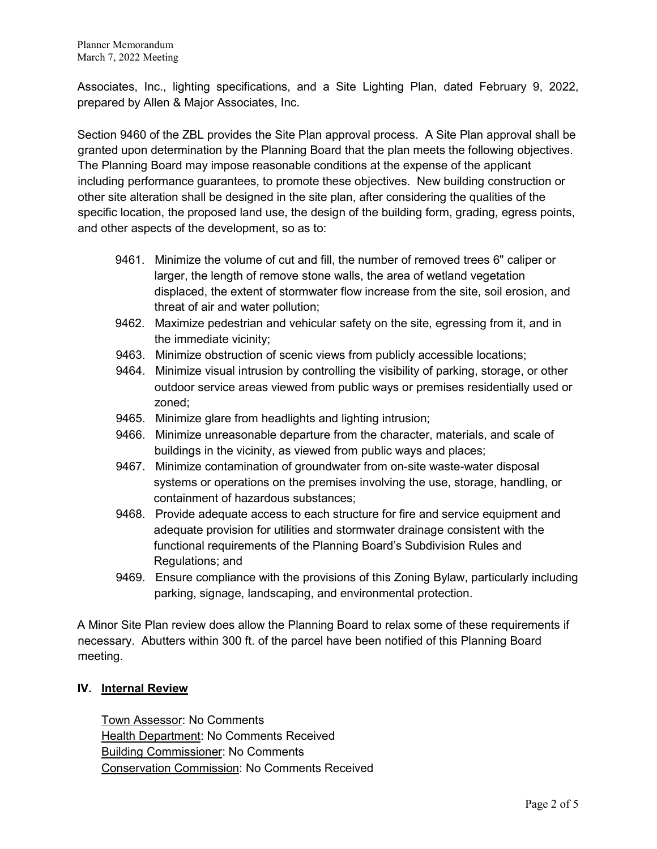Associates, Inc., lighting specifications, and a Site Lighting Plan, dated February 9, 2022, prepared by Allen & Major Associates, Inc.

Section 9460 of the ZBL provides the Site Plan approval process. A Site Plan approval shall be granted upon determination by the Planning Board that the plan meets the following objectives. The Planning Board may impose reasonable conditions at the expense of the applicant including performance guarantees, to promote these objectives. New building construction or other site alteration shall be designed in the site plan, after considering the qualities of the specific location, the proposed land use, the design of the building form, grading, egress points, and other aspects of the development, so as to:

- 9461. Minimize the volume of cut and fill, the number of removed trees 6" caliper or larger, the length of remove stone walls, the area of wetland vegetation displaced, the extent of stormwater flow increase from the site, soil erosion, and threat of air and water pollution;
- 9462. Maximize pedestrian and vehicular safety on the site, egressing from it, and in the immediate vicinity;
- 9463. Minimize obstruction of scenic views from publicly accessible locations;
- 9464. Minimize visual intrusion by controlling the visibility of parking, storage, or other outdoor service areas viewed from public ways or premises residentially used or zoned;
- 9465. Minimize glare from headlights and lighting intrusion;
- 9466. Minimize unreasonable departure from the character, materials, and scale of buildings in the vicinity, as viewed from public ways and places;
- 9467. Minimize contamination of groundwater from on-site waste-water disposal systems or operations on the premises involving the use, storage, handling, or containment of hazardous substances;
- 9468. Provide adequate access to each structure for fire and service equipment and adequate provision for utilities and stormwater drainage consistent with the functional requirements of the Planning Board's Subdivision Rules and Regulations; and
- 9469. Ensure compliance with the provisions of this Zoning Bylaw, particularly including parking, signage, landscaping, and environmental protection.

A Minor Site Plan review does allow the Planning Board to relax some of these requirements if necessary. Abutters within 300 ft. of the parcel have been notified of this Planning Board meeting.

#### **IV. Internal Review**

Town Assessor: No Comments Health Department: No Comments Received Building Commissioner: No Comments Conservation Commission: No Comments Received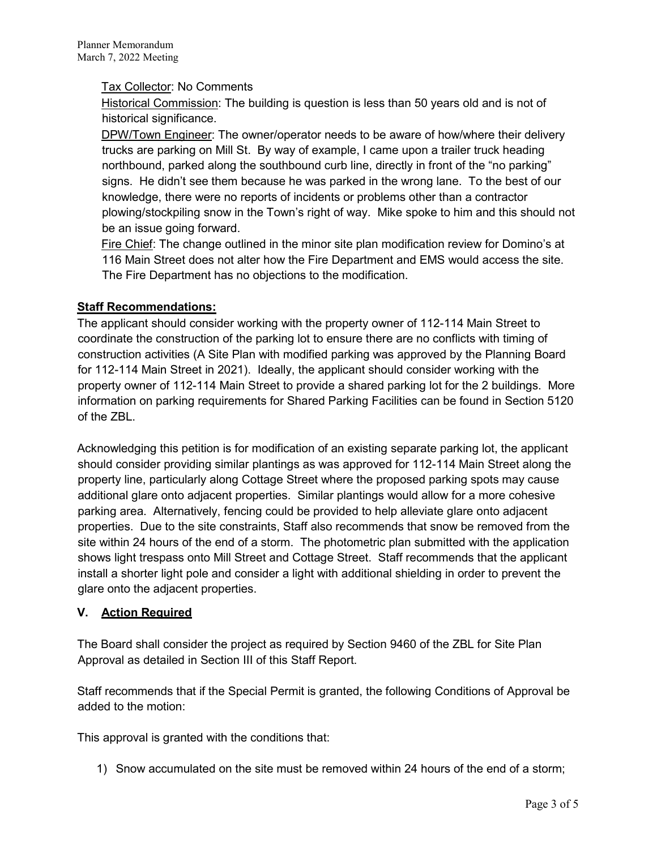### Tax Collector: No Comments

Historical Commission: The building is question is less than 50 years old and is not of historical significance.

DPW/Town Engineer: The owner/operator needs to be aware of how/where their delivery trucks are parking on Mill St. By way of example, I came upon a trailer truck heading northbound, parked along the southbound curb line, directly in front of the "no parking" signs. He didn't see them because he was parked in the wrong lane. To the best of our knowledge, there were no reports of incidents or problems other than a contractor plowing/stockpiling snow in the Town's right of way. Mike spoke to him and this should not be an issue going forward.

Fire Chief: The change outlined in the minor site plan modification review for Domino's at 116 Main Street does not alter how the Fire Department and EMS would access the site. The Fire Department has no objections to the modification.

## **Staff Recommendations:**

The applicant should consider working with the property owner of 112-114 Main Street to coordinate the construction of the parking lot to ensure there are no conflicts with timing of construction activities (A Site Plan with modified parking was approved by the Planning Board for 112-114 Main Street in 2021). Ideally, the applicant should consider working with the property owner of 112-114 Main Street to provide a shared parking lot for the 2 buildings. More information on parking requirements for Shared Parking Facilities can be found in Section 5120 of the ZBL.

Acknowledging this petition is for modification of an existing separate parking lot, the applicant should consider providing similar plantings as was approved for 112-114 Main Street along the property line, particularly along Cottage Street where the proposed parking spots may cause additional glare onto adjacent properties. Similar plantings would allow for a more cohesive parking area. Alternatively, fencing could be provided to help alleviate glare onto adjacent properties. Due to the site constraints, Staff also recommends that snow be removed from the site within 24 hours of the end of a storm. The photometric plan submitted with the application shows light trespass onto Mill Street and Cottage Street. Staff recommends that the applicant install a shorter light pole and consider a light with additional shielding in order to prevent the glare onto the adjacent properties.

# **V. Action Required**

The Board shall consider the project as required by Section 9460 of the ZBL for Site Plan Approval as detailed in Section III of this Staff Report.

Staff recommends that if the Special Permit is granted, the following Conditions of Approval be added to the motion:

This approval is granted with the conditions that:

1) Snow accumulated on the site must be removed within 24 hours of the end of a storm;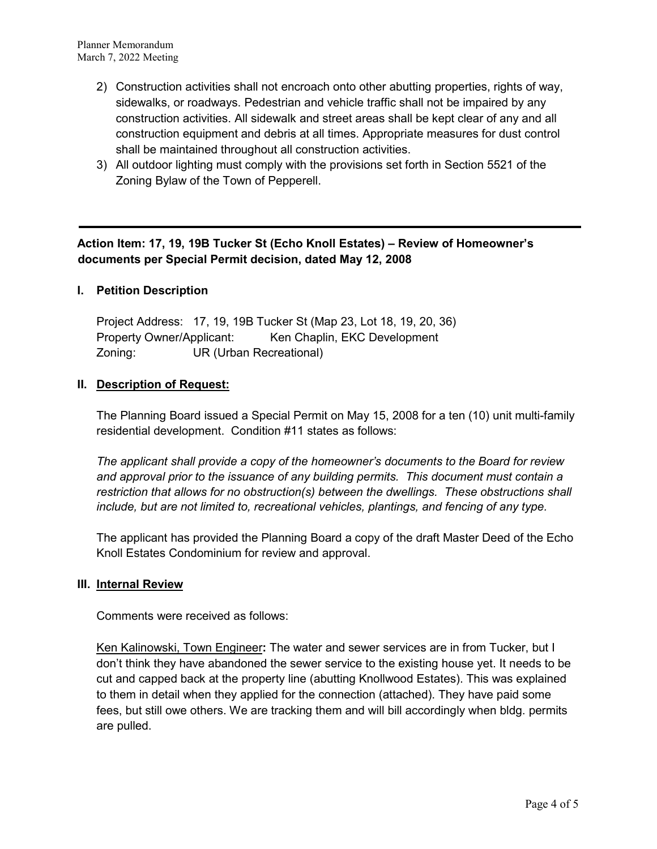- 2) Construction activities shall not encroach onto other abutting properties, rights of way, sidewalks, or roadways. Pedestrian and vehicle traffic shall not be impaired by any construction activities. All sidewalk and street areas shall be kept clear of any and all construction equipment and debris at all times. Appropriate measures for dust control shall be maintained throughout all construction activities.
- 3) All outdoor lighting must comply with the provisions set forth in Section 5521 of the Zoning Bylaw of the Town of Pepperell.

# **Action Item: 17, 19, 19B Tucker St (Echo Knoll Estates) – Review of Homeowner's documents per Special Permit decision, dated May 12, 2008**

#### **I. Petition Description**

Project Address: 17, 19, 19B Tucker St (Map 23, Lot 18, 19, 20, 36) Property Owner/Applicant: Ken Chaplin, EKC Development Zoning: UR (Urban Recreational)

#### **II. Description of Request:**

The Planning Board issued a Special Permit on May 15, 2008 for a ten (10) unit multi-family residential development. Condition #11 states as follows:

*The applicant shall provide a copy of the homeowner's documents to the Board for review and approval prior to the issuance of any building permits. This document must contain a restriction that allows for no obstruction(s) between the dwellings. These obstructions shall include, but are not limited to, recreational vehicles, plantings, and fencing of any type.*

The applicant has provided the Planning Board a copy of the draft Master Deed of the Echo Knoll Estates Condominium for review and approval.

#### **III. Internal Review**

Comments were received as follows:

Ken Kalinowski, Town Engineer**:** The water and sewer services are in from Tucker, but I don't think they have abandoned the sewer service to the existing house yet. It needs to be cut and capped back at the property line (abutting Knollwood Estates). This was explained to them in detail when they applied for the connection (attached). They have paid some fees, but still owe others. We are tracking them and will bill accordingly when bldg. permits are pulled.